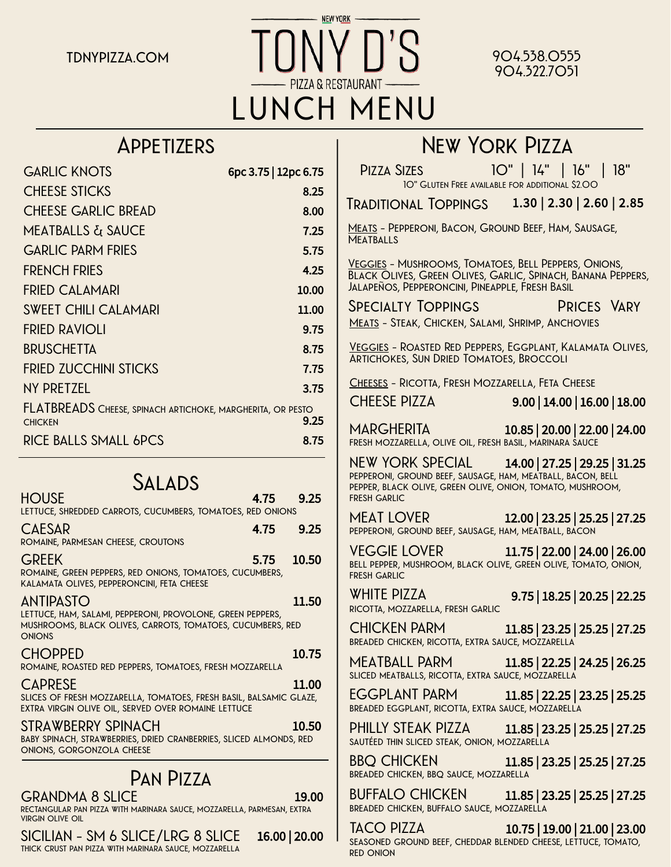**NEW YORK tdnypizza.com 904.538.0555 LUNCH MENU**

# **904.322.7051**

### **Appetizers**

| <b>GARLIC KNOTS</b>                                                                 | 6pc 3.75   12pc 6.75 |
|-------------------------------------------------------------------------------------|----------------------|
| <b>CHEESE STICKS</b>                                                                | 8.25                 |
| <b>CHEESE GARLIC BREAD</b>                                                          | 8.00                 |
| <b>MEATBALLS &amp; SAUCE</b>                                                        | 7.25                 |
| <b>GARLIC PARM FRIES</b>                                                            | 5.75                 |
| <b>FRENCH FRIES</b>                                                                 | 4.25                 |
| FRIED CALAMARI                                                                      | 10.00                |
| <b>SWEET CHILI CALAMARI</b>                                                         | 11.00                |
| <b>FRIED RAVIOLI</b>                                                                | 9.75                 |
| <b>BRUSCHETTA</b>                                                                   | 8.75                 |
| <b>FRIED ZUCCHINI STICKS</b>                                                        | 7.75                 |
| NY PRETZEL                                                                          | 3.75                 |
| <b>FLATBREADS</b> CHEESE, SPINACH ARTICHOKE, MARGHERITA, OR PESTO<br><b>CHICKEN</b> | 9.25                 |
| <b>RICE BALLS SMALL 6PCS</b>                                                        | 8.75                 |

### **Salads HOUSE** 4.75 9.25 **lettuce, shredded carrots, cucumbers, tomatoes, red onions CAESAR** 4.75 9.25 **romaine, parmesan cheese, croutons GREEK** 5.75 10.50 **romaine, green peppers, red onions, tomatoes, cucumbers, kalamata olives, pepperoncini, feta cheese ANTIPASTO** 11.50 **lettuce, ham, salami, pepperoni, provolone, green peppers, mushrooms, black olives, carrots, tomatoes, cucumbers, red onions CHOPPED** 10.75 **romaine, roasted red peppers, tomatoes, fresh mozzarella CAPRESE** 11.00 **slices of fresh mozzarella, tomatoes, fresh basil, balsamic glaze, extra virgin olive oil, served over romaine lettuce STRAWBERRY SPINACH** 10.50 **baby spinach, strawberries, dried cranberries, sliced almonds, red onions, gorgonzola cheese Pan Pizza GRANDMA 8 SLICE** 19.00 **rectangular pan pizza with marinara sauce, mozzarella, parmesan, extra virgin olive oil**

**SICILIAN - SM 6 SLICE/LRG 8 SLICE** 16.00 | 20.00

**thick crust pan pizza with marinara sauce, mozzarella**

**New York Pizza Pizza Sizes 10" | 14" | 16" | 18" Traditional Toppings** 1.30 | 2.30 | 2.60 | 2.85 **Meats - Pepperoni, Bacon, Ground Beef, Ham, Sausage, Meatballs Veggies - Mushrooms, Tomatoes, Bell Peppers, Onions, Black Olives, Green Olives, Garlic, Spinach, Banana Peppers, Jalapeños, Pepperoncini, Pineapple, Fresh Basil CHEESE PIZZA** 9.00 | 14.00 | 16.00 | 18.00 **MARGHERITA** 10.85 | 20.00 | 22.00 | 24.00 **fresh mozzarella, olive oil, fresh basil, marinara sauce NEW YORK SPECIAL** 14.00 | 27.25 | 29.25 | 31.25 **pepperoni, ground beef, sausage, ham, meatball, bacon, bell pepper, black olive, green olive, onion, tomato, mushroom, fresh garlic MEAT LOVER** 12.00 | 23.25 | 25.25 | 27.25 **pepperoni, ground beef, sausage, ham, meatball, bacon VEGGIE LOVER** 11.75 | 22.00 | 24.00 | 26.00 **bell pepper, mushroom, black olive, green olive, tomato, onion, fresh garlic WHITE PIZZA** 9.75 | 18.25 | 20.25 | 22.25 **ricotta, mozzarella, fresh garlic CHICKEN PARM** 11.85 | 23.25 | 25.25 | 27.25 **breaded chicken, ricotta, extra sauce, mozzarella MEATBALL PARM** 11.85 | 22.25 | 24.25 | 26.25 **sliced meatballs, ricotta, extra sauce, mozzarella EGGPLANT PARM** 11.85 | 22.25 | 23.25 | 25.25 **breaded eggplant, ricotta, extra sauce, mozzarella PHILLY STEAK PIZZA** 11.85 | 23.25 | 25.25 | 27.25 **sautéed thin sliced steak, onion, mozzarella BBQ CHICKEN** 11.85 | 23.25 | 25.25 | 27.25 **breaded chicken, bbq sauce, mozzarella BUFFALO CHICKEN** 11.85 | 23.25 | 25.25 | 27.25 **10" Gluten Free available for additional \$2.00 Specialty Toppings Prices Vary Meats - Steak, Chicken, Salami, Shrimp, Anchovies Veggies - Roasted Red Peppers, Eggplant, Kalamata Olives, Artichokes, Sun Dried Tomatoes, Broccoli Cheeses - Ricotta, Fresh Mozzarella, Feta Cheese**

**breaded chicken, buffalo sauce, mozzarella**

**TACO PIZZA** 10.75 | 19.00 | 21.00 | 23.00 **seasoned ground beef, cheddar blended cheese, lettuce, tomato, red onion**